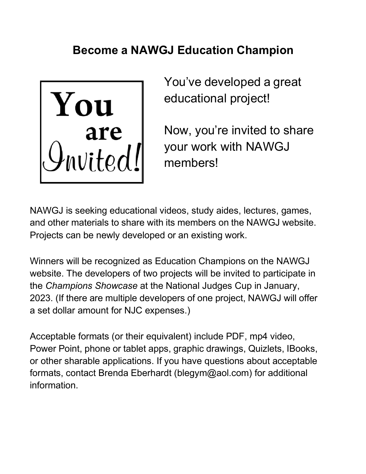## **Become a NAWGJ Education Champion**



You've developed a great educational project!

Now, you're invited to share your work with NAWGJ members!

NAWGJ is seeking educational videos, study aides, lectures, games, and other materials to share with its members on the NAWGJ website. Projects can be newly developed or an existing work.

Winners will be recognized as Education Champions on the NAWGJ website. The developers of two projects will be invited to participate in the *Champions Showcase* at the National Judges Cup in January, 2023. (If there are multiple developers of one project, NAWGJ will offer a set dollar amount for NJC expenses.)

Acceptable formats (or their equivalent) include PDF, mp4 video, Power Point, phone or tablet apps, graphic drawings, Quizlets, IBooks, or other sharable applications. If you have questions about acceptable formats, contact Brenda Eberhardt (blegym@aol.com) for additional information.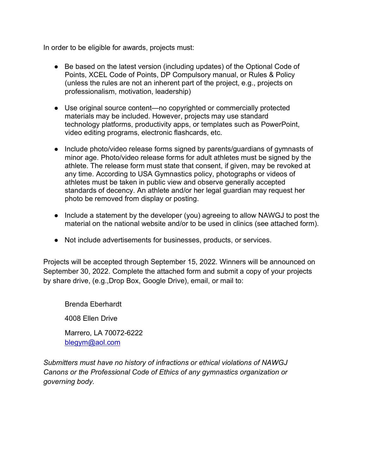In order to be eligible for awards, projects must:

- Be based on the latest version (including updates) of the Optional Code of Points, XCEL Code of Points, DP Compulsory manual, or Rules & Policy (unless the rules are not an inherent part of the project, e.g., projects on professionalism, motivation, leadership)
- Use original source content—no copyrighted or commercially protected materials may be included. However, projects may use standard technology platforms, productivity apps, or templates such as PowerPoint, video editing programs, electronic flashcards, etc.
- Include photo/video release forms signed by parents/guardians of gymnasts of minor age. Photo/video release forms for adult athletes must be signed by the athlete. The release form must state that consent, if given, may be revoked at any time. According to USA Gymnastics policy, photographs or videos of athletes must be taken in public view and observe generally accepted standards of decency. An athlete and/or her legal guardian may request her photo be removed from display or posting.
- Include a statement by the developer (you) agreeing to allow NAWGJ to post the material on the national website and/or to be used in clinics (see attached form).
- Not include advertisements for businesses, products, or services.

Projects will be accepted through September 15, 2022. Winners will be announced on September 30, 2022. Complete the attached form and submit a copy of your projects by share drive, (e.g.,Drop Box, Google Drive), email, or mail to:

Brenda Eberhardt 4008 Ellen Drive Marrero, LA 70072-6222 blegym@aol.com

*Submitters must have no history of infractions or ethical violations of NAWGJ Canons or the Professional Code of Ethics of any gymnastics organization or governing body.*